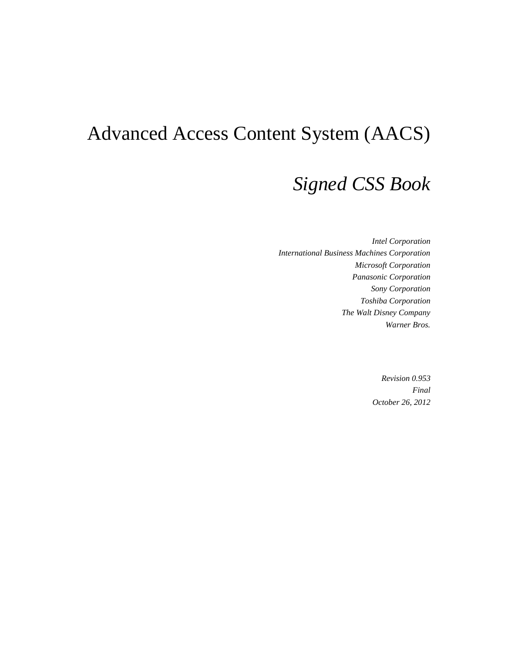# Advanced Access Content System (AACS)

# *Signed CSS Book*

*Intel Corporation International Business Machines Corporation Microsoft Corporation Panasonic Corporation Sony Corporation Toshiba Corporation The Walt Disney Company Warner Bros.*

> *Revision 0.953 Final October 26, 2012*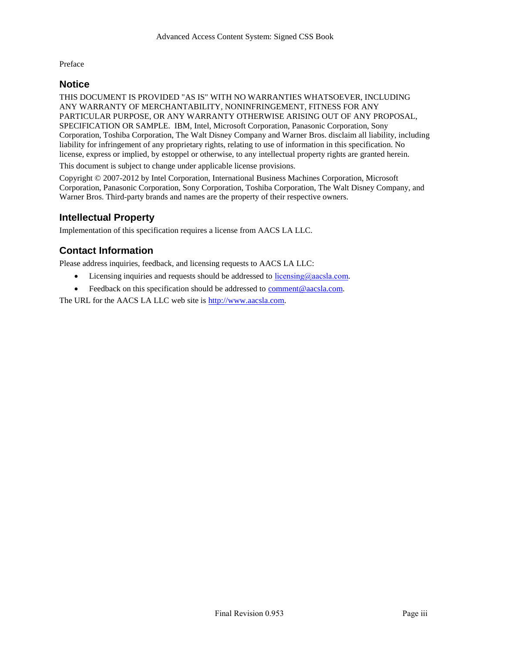Preface

#### <span id="page-2-0"></span>**Notice**

THIS DOCUMENT IS PROVIDED "AS IS" WITH NO WARRANTIES WHATSOEVER, INCLUDING ANY WARRANTY OF MERCHANTABILITY, NONINFRINGEMENT, FITNESS FOR ANY PARTICULAR PURPOSE, OR ANY WARRANTY OTHERWISE ARISING OUT OF ANY PROPOSAL, SPECIFICATION OR SAMPLE. IBM, Intel, Microsoft Corporation, Panasonic Corporation, Sony Corporation, Toshiba Corporation, The Walt Disney Company and Warner Bros. disclaim all liability, including liability for infringement of any proprietary rights, relating to use of information in this specification. No license, express or implied, by estoppel or otherwise, to any intellectual property rights are granted herein.

This document is subject to change under applicable license provisions.

Copyright © 2007-2012 by Intel Corporation, International Business Machines Corporation, Microsoft Corporation, Panasonic Corporation, Sony Corporation, Toshiba Corporation, The Walt Disney Company, and Warner Bros. Third-party brands and names are the property of their respective owners.

### <span id="page-2-1"></span>**Intellectual Property**

Implementation of this specification requires a license from AACS LA LLC.

# <span id="page-2-2"></span>**Contact Information**

Please address inquiries, feedback, and licensing requests to AACS LA LLC:

- Licensing inquiries and requests should be addressed to  $\frac{ \text{licensing}(\omega)$  aacsla.com.
- Feedback on this specification should be addressed to [comment@aacsla.com.](mailto:comment@aacsla.com)

The URL for the AACS LA LLC web site i[s http://www.aacsla.com.](http://www.aacsla.com/)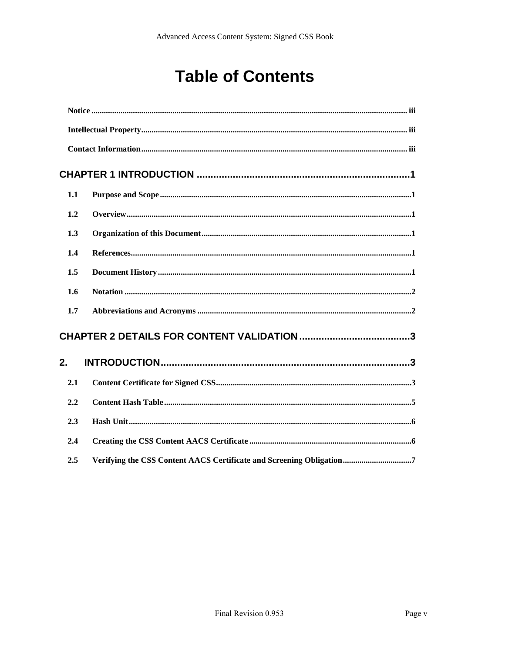# **Table of Contents**

| 1.1 |                                                                      |
|-----|----------------------------------------------------------------------|
| 1.2 |                                                                      |
| 1.3 |                                                                      |
| 1.4 |                                                                      |
| 1.5 |                                                                      |
| 1.6 |                                                                      |
| 1.7 |                                                                      |
|     |                                                                      |
| 2.  |                                                                      |
| 2.1 |                                                                      |
| 2.2 |                                                                      |
| 2.3 |                                                                      |
| 2.4 |                                                                      |
| 2.5 | Verifying the CSS Content AACS Certificate and Screening Obligation7 |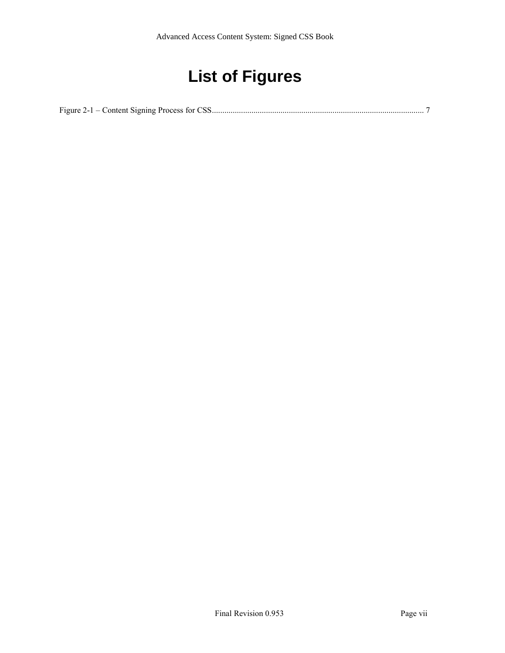# **List of Figures**

Figure 2-1 – Content Signing Process [for CSS......................................................................................................](#page-16-1) 7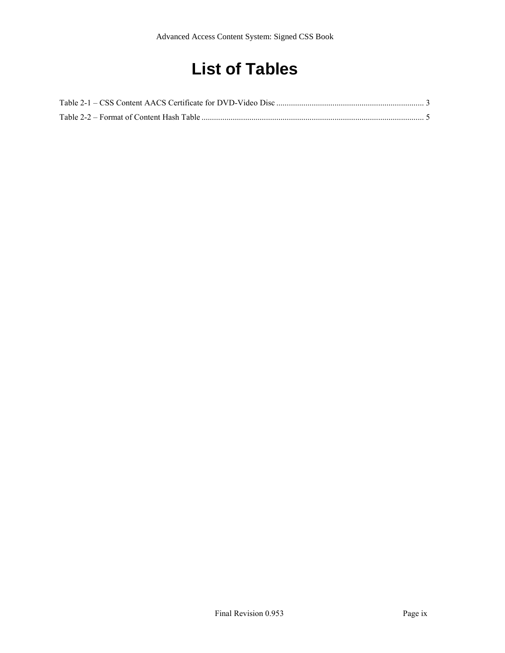# **List of Tables**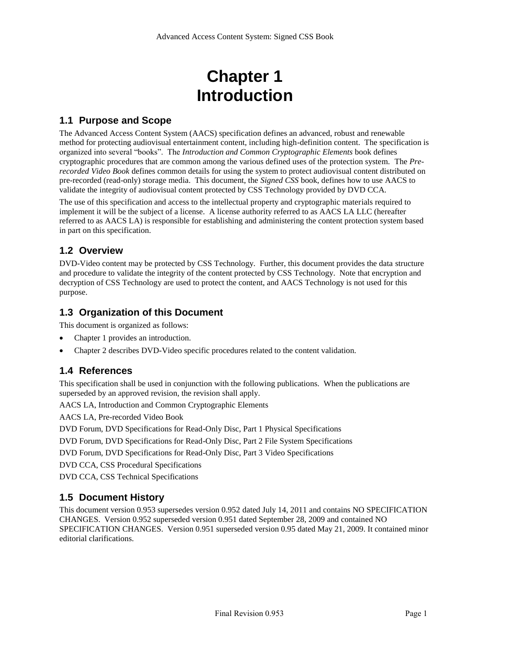# **Chapter 1 Introduction**

### <span id="page-10-1"></span><span id="page-10-0"></span>**1.1 Purpose and Scope**

The Advanced Access Content System (AACS) specification defines an advanced, robust and renewable method for protecting audiovisual entertainment content, including high-definition content. The specification is organized into several "books". The *Introduction and Common Cryptographic Elements* book defines cryptographic procedures that are common among the various defined uses of the protection system. The *Prerecorded Video Book* defines common details for using the system to protect audiovisual content distributed on pre-recorded (read-only) storage media. This document, the *Signed CSS* book, defines how to use AACS to validate the integrity of audiovisual content protected by CSS Technology provided by DVD CCA.

The use of this specification and access to the intellectual property and cryptographic materials required to implement it will be the subject of a license. A license authority referred to as AACS LA LLC (hereafter referred to as AACS LA) is responsible for establishing and administering the content protection system based in part on this specification.

### <span id="page-10-2"></span>**1.2 Overview**

DVD-Video content may be protected by CSS Technology. Further, this document provides the data structure and procedure to validate the integrity of the content protected by CSS Technology. Note that encryption and decryption of CSS Technology are used to protect the content, and AACS Technology is not used for this purpose.

### <span id="page-10-3"></span>**1.3 Organization of this Document**

This document is organized as follows:

- Chapter 1 provides an introduction.
- Chapter [2](#page-12-1) describes DVD-Video specific procedures related to the content validation.

#### <span id="page-10-4"></span>**1.4 References**

This specification shall be used in conjunction with the following publications. When the publications are superseded by an approved revision, the revision shall apply.

AACS LA, Introduction and Common Cryptographic Elements

AACS LA, Pre-recorded Video Book

DVD Forum, DVD Specifications for Read-Only Disc, Part 1 Physical Specifications

DVD Forum, DVD Specifications for Read-Only Disc, Part 2 File System Specifications

DVD Forum, DVD Specifications for Read-Only Disc, Part 3 Video Specifications

DVD CCA, CSS Procedural Specifications

DVD CCA, CSS Technical Specifications

#### <span id="page-10-5"></span>**1.5 Document History**

This document version 0.953 supersedes version 0.952 dated July 14, 2011 and contains NO SPECIFICATION CHANGES. Version 0.952 superseded version 0.951 dated September 28, 2009 and contained NO SPECIFICATION CHANGES. Version 0.951 superseded version 0.95 dated May 21, 2009. It contained minor editorial clarifications.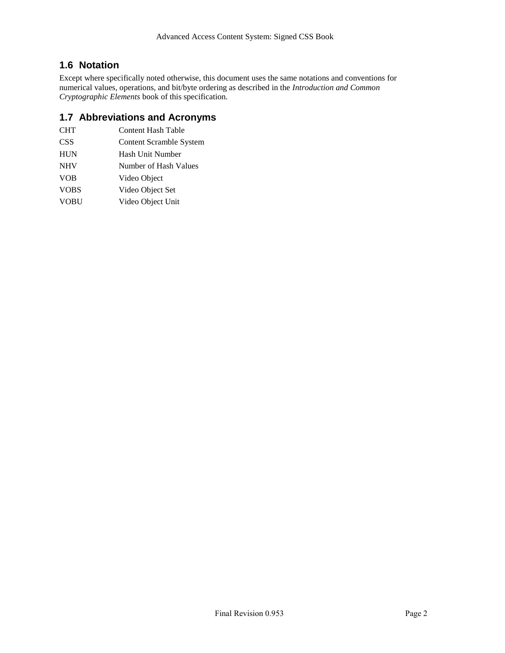### <span id="page-11-0"></span>**1.6 Notation**

Except where specifically noted otherwise, this document uses the same notations and conventions for numerical values, operations, and bit/byte ordering as described in the *Introduction and Common Cryptographic Elements* book of this specification.

### <span id="page-11-1"></span>**1.7 Abbreviations and Acronyms**

| CHT         | Content Hash Table             |
|-------------|--------------------------------|
| CSS         | <b>Content Scramble System</b> |
| <b>HUN</b>  | Hash Unit Number               |
| <b>NHV</b>  | Number of Hash Values          |
| VOB         | Video Object                   |
| <b>VOBS</b> | Video Object Set               |
|             |                                |

VOBU Video Object Unit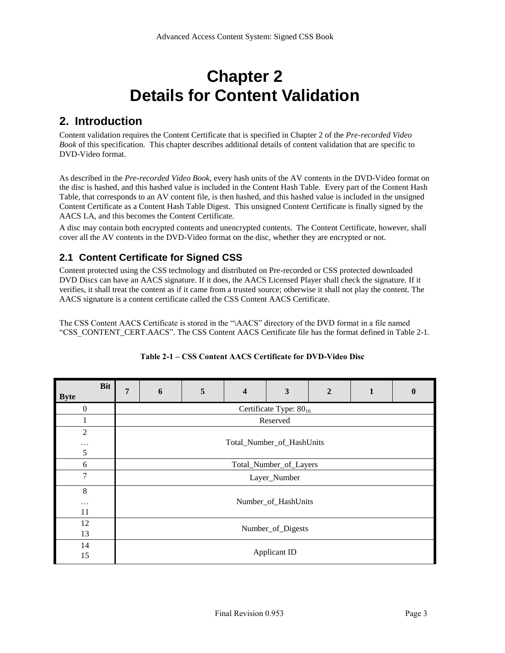# **Chapter 2 Details for Content Validation**

# <span id="page-12-1"></span><span id="page-12-0"></span>**2. Introduction**

Content validation requires the Content Certificate that is specified in Chapter 2 of the *Pre-recorded Video Book* of this specification. This chapter describes additional details of content validation that are specific to DVD-Video format.

As described in the *Pre-recorded Video Book*, every hash units of the AV contents in the DVD-Video format on the disc is hashed, and this hashed value is included in the Content Hash Table. Every part of the Content Hash Table, that corresponds to an AV content file, is then hashed, and this hashed value is included in the unsigned Content Certificate as a Content Hash Table Digest. This unsigned Content Certificate is finally signed by the AACS LA, and this becomes the Content Certificate.

A disc may contain both encrypted contents and unencrypted contents. The Content Certificate, however, shall cover all the AV contents in the DVD-Video format on the disc, whether they are encrypted or not.

# <span id="page-12-2"></span>**2.1 Content Certificate for Signed CSS**

Content protected using the CSS technology and distributed on Pre-recorded or CSS protected downloaded DVD Discs can have an AACS signature. If it does, the AACS Licensed Player shall check the signature. If it verifies, it shall treat the content as if it came from a trusted source; otherwise it shall not play the content. The AACS signature is a content certificate called the CSS Content AACS Certificate.

The CSS Content AACS Certificate is stored in the "\AACS" directory of the DVD format in a file named "CSS\_CONTENT\_CERT.AACS". The CSS Content AACS Certificate file has the format defined i[n Table 2-1.](#page-12-3)

<span id="page-12-3"></span>

| <b>Bit</b><br><b>Byte</b> | 7 | 6                                  | 5 | $\overline{\mathbf{4}}$ | 3 | $\overline{2}$ |  | $\mathbf 0$ |  |  |  |
|---------------------------|---|------------------------------------|---|-------------------------|---|----------------|--|-------------|--|--|--|
| $\mathbf{0}$              |   | Certificate Type: 80 <sub>16</sub> |   |                         |   |                |  |             |  |  |  |
|                           |   | Reserved                           |   |                         |   |                |  |             |  |  |  |
| $\overline{2}$<br>.<br>5  |   | Total_Number_of_HashUnits          |   |                         |   |                |  |             |  |  |  |
| 6                         |   | Total_Number_of_Layers             |   |                         |   |                |  |             |  |  |  |
| $\tau$                    |   | Layer_Number                       |   |                         |   |                |  |             |  |  |  |
| $\,8\,$<br>$\cdots$<br>11 |   | Number_of_HashUnits                |   |                         |   |                |  |             |  |  |  |
| 12<br>13                  |   | Number_of_Digests                  |   |                         |   |                |  |             |  |  |  |
| 14<br>15                  |   | Applicant ID                       |   |                         |   |                |  |             |  |  |  |

#### **Table 2-1 – CSS Content AACS Certificate for DVD-Video Disc**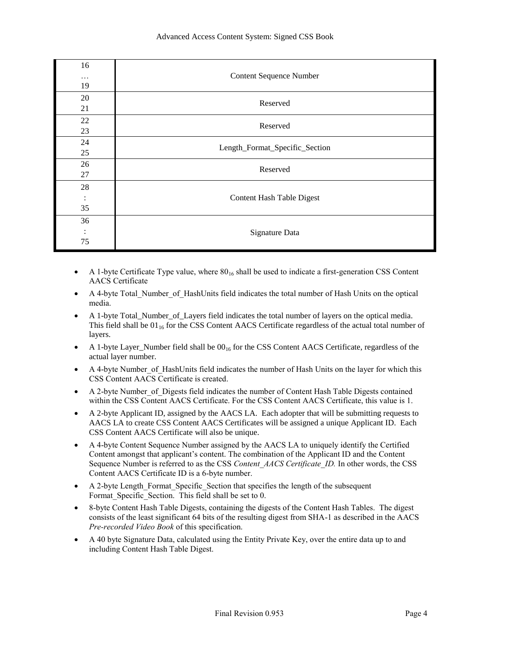| 16<br>.<br>19              | <b>Content Sequence Number</b>   |
|----------------------------|----------------------------------|
| 20<br>21                   | Reserved                         |
| 22<br>23                   | Reserved                         |
| 24<br>25                   | Length_Format_Specific_Section   |
| 26<br>27                   | Reserved                         |
| 28<br>$\ddot{\cdot}$<br>35 | <b>Content Hash Table Digest</b> |
| 36<br>$\bullet$<br>75      | Signature Data                   |

- A 1-byte Certificate Type value, where  $80_{16}$  shall be used to indicate a first-generation CSS Content AACS Certificate
- A 4-byte Total\_Number\_of\_HashUnits field indicates the total number of Hash Units on the optical media.
- A 1-byte Total\_Number\_of\_Layers field indicates the total number of layers on the optical media. This field shall be  $01_{16}$  for the CSS Content AACS Certificate regardless of the actual total number of layers.
- A 1-byte Layer\_Number field shall be  $00_{16}$  for the CSS Content AACS Certificate, regardless of the actual layer number.
- A 4-byte Number\_of\_HashUnits field indicates the number of Hash Units on the layer for which this CSS Content AACS Certificate is created.
- A 2-byte Number\_of\_Digests field indicates the number of Content Hash Table Digests contained within the CSS Content AACS Certificate. For the CSS Content AACS Certificate, this value is 1.
- A 2-byte Applicant ID, assigned by the AACS LA. Each adopter that will be submitting requests to AACS LA to create CSS Content AACS Certificates will be assigned a unique Applicant ID. Each CSS Content AACS Certificate will also be unique.
- A 4-byte Content Sequence Number assigned by the AACS LA to uniquely identify the Certified Content amongst that applicant's content. The combination of the Applicant ID and the Content Sequence Number is referred to as the CSS *Content\_AACS Certificate\_ID.* In other words, the CSS Content AACS Certificate ID is a 6-byte number.
- A 2-byte Length\_Format\_Specific\_Section that specifies the length of the subsequent Format Specific Section. This field shall be set to 0.
- 8-byte Content Hash Table Digests, containing the digests of the Content Hash Tables. The digest consists of the least significant 64 bits of the resulting digest from SHA-1 as described in the AACS *Pre-recorded Video Book* of this specification.
- A 40 byte Signature Data, calculated using the Entity Private Key, over the entire data up to and including Content Hash Table Digest.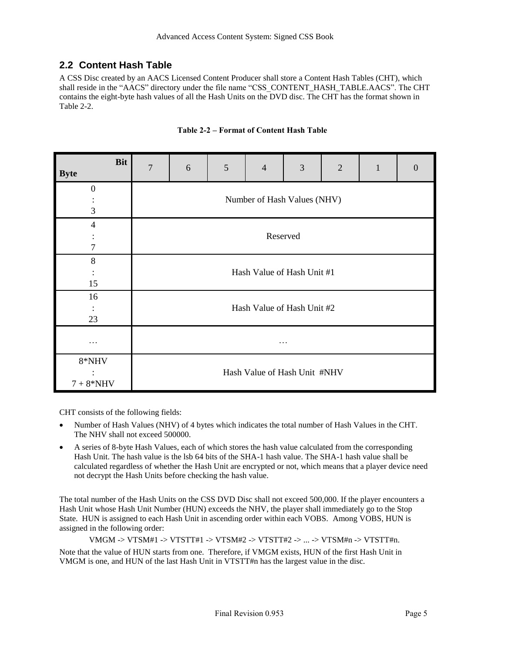# <span id="page-14-0"></span>**2.2 Content Hash Table**

A CSS Disc created by an AACS Licensed Content Producer shall store a Content Hash Tables (CHT), which shall reside in the "AACS" directory under the file name "CSS\_CONTENT\_HASH\_TABLE.AACS". The CHT contains the eight-byte hash values of all the Hash Units on the DVD disc. The CHT has the format shown in [Table 2-2.](#page-14-1)

<span id="page-14-1"></span>

| <b>Bit</b><br><b>Byte</b> | $\overline{7}$              | 6                            | $\sqrt{5}$ | $\overline{4}$ | 3 | $\overline{2}$ | $\mathbf{1}$ | $\overline{0}$ |  |
|---------------------------|-----------------------------|------------------------------|------------|----------------|---|----------------|--------------|----------------|--|
| $\boldsymbol{0}$          |                             |                              |            |                |   |                |              |                |  |
| $\ddot{\phantom{0}}$<br>3 | Number of Hash Values (NHV) |                              |            |                |   |                |              |                |  |
| $\overline{4}$            |                             |                              |            |                |   |                |              |                |  |
| 7                         | Reserved                    |                              |            |                |   |                |              |                |  |
| 8                         |                             |                              |            |                |   |                |              |                |  |
| $\ddot{\cdot}$<br>15      | Hash Value of Hash Unit #1  |                              |            |                |   |                |              |                |  |
| 16                        |                             |                              |            |                |   |                |              |                |  |
| $\ddot{\cdot}$            | Hash Value of Hash Unit #2  |                              |            |                |   |                |              |                |  |
| 23                        |                             |                              |            |                |   |                |              |                |  |
| .                         | .                           |                              |            |                |   |                |              |                |  |
| 8*NHV                     |                             |                              |            |                |   |                |              |                |  |
| $7+8*NHV$                 |                             | Hash Value of Hash Unit #NHV |            |                |   |                |              |                |  |

#### **Table 2-2 – Format of Content Hash Table**

CHT consists of the following fields:

- Number of Hash Values (NHV) of 4 bytes which indicates the total number of Hash Values in the CHT. The NHV shall not exceed 500000.
- A series of 8-byte Hash Values, each of which stores the hash value calculated from the corresponding Hash Unit. The hash value is the lsb 64 bits of the SHA-1 hash value. The SHA-1 hash value shall be calculated regardless of whether the Hash Unit are encrypted or not, which means that a player device need not decrypt the Hash Units before checking the hash value.

The total number of the Hash Units on the CSS DVD Disc shall not exceed 500,000. If the player encounters a Hash Unit whose Hash Unit Number (HUN) exceeds the NHV, the player shall immediately go to the Stop State. HUN is assigned to each Hash Unit in ascending order within each VOBS. Among VOBS, HUN is assigned in the following order:

VMGM -> VTSM#1 -> VTSTT#1 -> VTSM#2 -> VTSTT#2 -> ... -> VTSM#n -> VTSTT#n. Note that the value of HUN starts from one. Therefore, if VMGM exists, HUN of the first Hash Unit in VMGM is one, and HUN of the last Hash Unit in VTSTT#n has the largest value in the disc.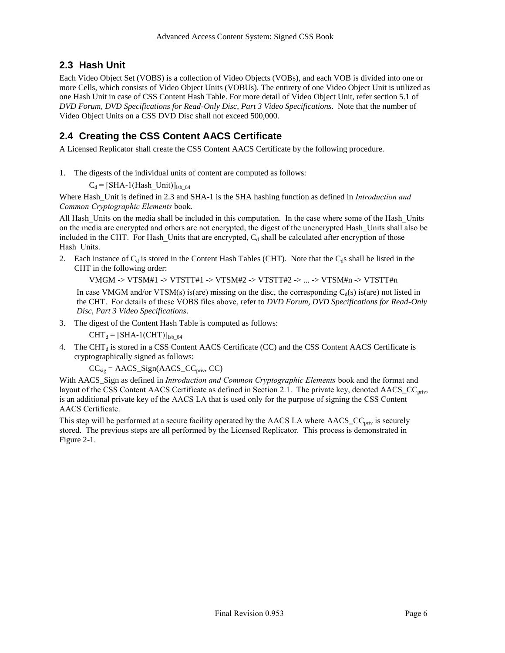## <span id="page-15-0"></span>**2.3 Hash Unit**

Each Video Object Set (VOBS) is a collection of Video Objects (VOBs), and each VOB is divided into one or more Cells, which consists of Video Object Units (VOBUs). The entirety of one Video Object Unit is utilized as one Hash Unit in case of CSS Content Hash Table. For more detail of Video Object Unit, refer section 5.1 of *DVD Forum, DVD Specifications for Read-Only Disc, Part 3 Video Specifications*. Note that the number of Video Object Units on a CSS DVD Disc shall not exceed 500,000.

# <span id="page-15-1"></span>**2.4 Creating the CSS Content AACS Certificate**

A Licensed Replicator shall create the CSS Content AACS Certificate by the following procedure.

1. The digests of the individual units of content are computed as follows:

 $C_d = [SHA-1(Hash_UInit)]_{lsb_64}$ 

Where Hash\_Unit is defined in [2.3](#page-15-0) and SHA-1 is the SHA hashing function as defined in *Introduction and Common Cryptographic Elements* book.

All Hash\_Units on the media shall be included in this computation. In the case where some of the Hash\_Units on the media are encrypted and others are not encrypted, the digest of the unencrypted Hash\_Units shall also be included in the CHT. For Hash Units that are encrypted,  $C<sub>d</sub>$  shall be calculated after encryption of those Hash\_Units.

2. Each instance of  $C_d$  is stored in the Content Hash Tables (CHT). Note that the  $C_d$ s shall be listed in the CHT in the following order:

VMGM -> VTSM#1 -> VTSTT#1 -> VTSM#2 -> VTSTT#2 -> ... -> VTSM#n -> VTSTT#n

In case VMGM and/or VTSM(s) is(are) missing on the disc, the corresponding  $C_d(s)$  is(are) not listed in the CHT. For details of these VOBS files above, refer to *DVD Forum, DVD Specifications for Read-Only Disc, Part 3 Video Specifications*.

3. The digest of the Content Hash Table is computed as follows:

 $CHT_d = [SHA-1(CHT)]_{lsb_64}$ 

4. The CHT $_d$  is stored in a CSS Content AACS Certificate (CC) and the CSS Content AACS Certificate is cryptographically signed as follows:

 $CC_{sig} = AACS\_Sign(AACS\_CC_{priv}, CC)$ 

With AACS\_Sign as defined in *Introduction and Common Cryptographic Elements* book and the format and layout of the CSS Content AACS Certificate as defined in Section [2.1.](#page-12-2) The private key, denoted AACS\_CC<sub>priv</sub>, is an additional private key of the AACS LA that is used only for the purpose of signing the CSS Content AACS Certificate.

This step will be performed at a secure facility operated by the AACS LA where AACS\_CC<sub>priv</sub> is securely stored. The previous steps are all performed by the Licensed Replicator. This process is demonstrated in [Figure 2-1](#page-16-1).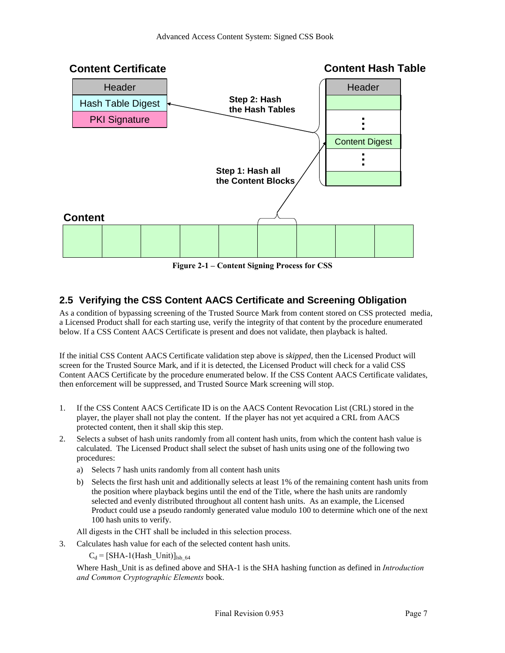

**Figure 2-1 – Content Signing Process for CSS**

# <span id="page-16-1"></span><span id="page-16-0"></span>**2.5 Verifying the CSS Content AACS Certificate and Screening Obligation**

As a condition of bypassing screening of the Trusted Source Mark from content stored on CSS protected media, a Licensed Product shall for each starting use, verify the integrity of that content by the procedure enumerated below. If a CSS Content AACS Certificate is present and does not validate, then playback is halted.

If the initial CSS Content AACS Certificate validation step above is *skipped*, then the Licensed Product will screen for the Trusted Source Mark, and if it is detected, the Licensed Product will check for a valid CSS Content AACS Certificate by the procedure enumerated below. If the CSS Content AACS Certificate validates, then enforcement will be suppressed, and Trusted Source Mark screening will stop.

- 1. If the CSS Content AACS Certificate ID is on the AACS Content Revocation List (CRL) stored in the player, the player shall not play the content. If the player has not yet acquired a CRL from AACS protected content, then it shall skip this step.
- 2. Selects a subset of hash units randomly from all content hash units, from which the content hash value is calculated. The Licensed Product shall select the subset of hash units using one of the following two procedures:
	- a) Selects 7 hash units randomly from all content hash units
	- b) Selects the first hash unit and additionally selects at least 1% of the remaining content hash units from the position where playback begins until the end of the Title, where the hash units are randomly selected and evenly distributed throughout all content hash units. As an example, the Licensed Product could use a pseudo randomly generated value modulo 100 to determine which one of the next 100 hash units to verify.

All digests in the CHT shall be included in this selection process.

3. Calculates hash value for each of the selected content hash units.

 $C_d = [SHA-1(Hash Unit)]_{lsb-64}$ 

Where Hash\_Unit is as defined above and SHA-1 is the SHA hashing function as defined in *Introduction and Common Cryptographic Elements* book.